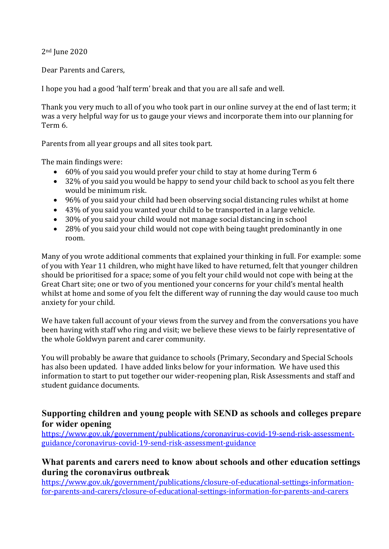2nd June 2020

Dear Parents and Carers,

I hope you had a good 'half term' break and that you are all safe and well.

Thank you very much to all of you who took part in our online survey at the end of last term; it was a very helpful way for us to gauge your views and incorporate them into our planning for Term 6.

Parents from all year groups and all sites took part.

The main findings were:

- 60% of you said you would prefer your child to stay at home during Term 6
- 32% of you said you would be happy to send your child back to school as you felt there would be minimum risk.
- 96% of you said your child had been observing social distancing rules whilst at home
- 43% of you said you wanted your child to be transported in a large vehicle.
- 30% of you said your child would not manage social distancing in school
- 28% of you said your child would not cope with being taught predominantly in one room.

Many of you wrote additional comments that explained your thinking in full. For example: some of you with Year 11 children, who might have liked to have returned, felt that younger children should be prioritised for a space; some of you felt your child would not cope with being at the Great Chart site; one or two of you mentioned your concerns for your child's mental health whilst at home and some of you felt the different way of running the day would cause too much anxiety for your child.

We have taken full account of your views from the survey and from the conversations you have been having with staff who ring and visit; we believe these views to be fairly representative of the whole Goldwyn parent and carer community.

You will probably be aware that guidance to schools (Primary, Secondary and Special Schools has also been updated. I have added links below for your information. We have used this information to start to put together our wider-reopening plan, Risk Assessments and staff and student guidance documents.

## **Supporting children and young people with SEND as schools and colleges prepare for wider opening**

[https://www.gov.uk/government/publications/coronavirus-covid-19-send-risk-assessment](https://www.gov.uk/government/publications/coronavirus-covid-19-send-risk-assessment-guidance/coronavirus-covid-19-send-risk-assessment-guidance)[guidance/coronavirus-covid-19-send-risk-assessment-guidance](https://www.gov.uk/government/publications/coronavirus-covid-19-send-risk-assessment-guidance/coronavirus-covid-19-send-risk-assessment-guidance)

## **What parents and carers need to know about schools and other education settings during the coronavirus outbreak**

[https://www.gov.uk/government/publications/closure-of-educational-settings-information](https://www.gov.uk/government/publications/closure-of-educational-settings-information-for-parents-and-carers/closure-of-educational-settings-information-for-parents-and-carers)[for-parents-and-carers/closure-of-educational-settings-information-for-parents-and-carers](https://www.gov.uk/government/publications/closure-of-educational-settings-information-for-parents-and-carers/closure-of-educational-settings-information-for-parents-and-carers)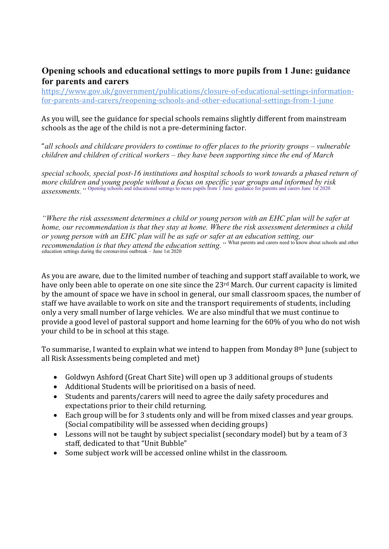## **Opening schools and educational settings to more pupils from 1 June: guidance for parents and carers**

[https://www.gov.uk/government/publications/closure-of-educational-settings-information](https://www.gov.uk/government/publications/closure-of-educational-settings-information-for-parents-and-carers/reopening-schools-and-other-educational-settings-from-1-june)[for-parents-and-carers/reopening-schools-and-other-educational-settings-from-1-june](https://www.gov.uk/government/publications/closure-of-educational-settings-information-for-parents-and-carers/reopening-schools-and-other-educational-settings-from-1-june)

As you will, see the guidance for special schools remains slightly different from mainstream schools as the age of the child is not a pre-determining factor.

"all schools and childcare providers to continue to offer places to the priority groups – vulnerable *children and children of critical workers – they have been supporting since the end of March*

*special schools, special post-16 institutions and hospital schools to work towards a phased return of more children and young people without a focus on specific year groups and informed by risk assessments.* " Opening schools and educational settings to more pupils from 1 June: guidance for parents and carers June 1st 2020

*"Where the risk assessment determines a child or young person with an EHC plan will be safer at home, our recommendation is that they stay at home. Where the risk assessment determines a child or young person with an EHC plan will be as safe or safer at an education setting, our recommendation is that they attend the education setting.*<sup>"</sup> What parents and carers need to know about schools and other education settings during the coronavirus outbreak – June 1st 2020

As you are aware, due to the limited number of teaching and support staff available to work, we have only been able to operate on one site since the 23<sup>rd</sup> March. Our current capacity is limited by the amount of space we have in school in general, our small classroom spaces, the number of staff we have available to work on site and the transport requirements of students, including only a very small number of large vehicles. We are also mindful that we must continue to provide a good level of pastoral support and home learning for the 60% of you who do not wish your child to be in school at this stage.

To summarise, I wanted to explain what we intend to happen from Monday 8<sup>th</sup> June (subject to all Risk Assessments being completed and met)

- Goldwyn Ashford (Great Chart Site) will open up 3 additional groups of students
- Additional Students will be prioritised on a basis of need.
- Students and parents/carers will need to agree the daily safety procedures and expectations prior to their child returning.
- Each group will be for 3 students only and will be from mixed classes and year groups. (Social compatibility will be assessed when deciding groups)
- Lessons will not be taught by subject specialist (secondary model) but by a team of 3 staff, dedicated to that "Unit Bubble"
- Some subject work will be accessed online whilst in the classroom.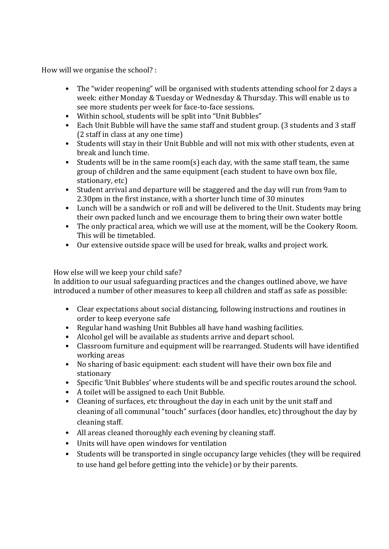How will we organise the school? :

- The "wider reopening" will be organised with students attending school for 2 days a week: either Monday & Tuesday or Wednesday & Thursday. This will enable us to see more students per week for face-to-face sessions.
- Within school, students will be split into "Unit Bubbles"
- Each Unit Bubble will have the same staff and student group. (3 students and 3 staff (2 staff in class at any one time)
- Students will stay in their Unit Bubble and will not mix with other students, even at break and lunch time.
- Students will be in the same room(s) each day, with the same staff team, the same group of children and the same equipment (each student to have own box file, stationary, etc)
- Student arrival and departure will be staggered and the day will run from 9am to 2.30pm in the first instance, with a shorter lunch time of 30 minutes
- Lunch will be a sandwich or roll and will be delivered to the Unit. Students may bring their own packed lunch and we encourage them to bring their own water bottle
- The only practical area, which we will use at the moment, will be the Cookery Room. This will be timetabled.
- Our extensive outside space will be used for break, walks and project work.

## How else will we keep your child safe?

In addition to our usual safeguarding practices and the changes outlined above, we have introduced a number of other measures to keep all children and staff as safe as possible:

- Clear expectations about social distancing, following instructions and routines in order to keep everyone safe
- Regular hand washing Unit Bubbles all have hand washing facilities.
- Alcohol gel will be available as students arrive and depart school.
- Classroom furniture and equipment will be rearranged. Students will have identified working areas
- No sharing of basic equipment: each student will have their own box file and stationary
- Specific 'Unit Bubbles' where students will be and specific routes around the school.
- A toilet will be assigned to each Unit Bubble.
- Cleaning of surfaces, etc throughout the day in each unit by the unit staff and cleaning of all communal "touch" surfaces (door handles, etc) throughout the day by cleaning staff.
- All areas cleaned thoroughly each evening by cleaning staff.
- Units will have open windows for ventilation
- Students will be transported in single occupancy large vehicles (they will be required to use hand gel before getting into the vehicle) or by their parents.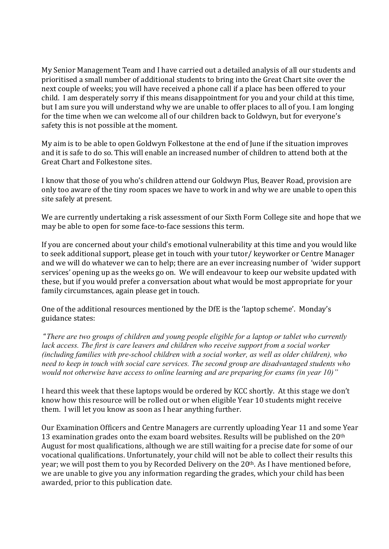My Senior Management Team and I have carried out a detailed analysis of all our students and prioritised a small number of additional students to bring into the Great Chart site over the next couple of weeks; you will have received a phone call if a place has been offered to your child. I am desperately sorry if this means disappointment for you and your child at this time, but I am sure you will understand why we are unable to offer places to all of you. I am longing for the time when we can welcome all of our children back to Goldwyn, but for everyone's safety this is not possible at the moment.

My aim is to be able to open Goldwyn Folkestone at the end of June if the situation improves and it is safe to do so. This will enable an increased number of children to attend both at the Great Chart and Folkestone sites.

I know that those of you who's children attend our Goldwyn Plus, Beaver Road, provision are only too aware of the tiny room spaces we have to work in and why we are unable to open this site safely at present.

We are currently undertaking a risk assessment of our Sixth Form College site and hope that we may be able to open for some face-to-face sessions this term.

If you are concerned about your child's emotional vulnerability at this time and you would like to seek additional support, please get in touch with your tutor/ keyworker or Centre Manager and we will do whatever we can to help; there are an ever increasing number of 'wider support services' opening up as the weeks go on. We will endeavour to keep our website updated with these, but if you would prefer a conversation about what would be most appropriate for your family circumstances, again please get in touch.

One of the additional resources mentioned by the DfE is the 'laptop scheme'. Monday's guidance states:

"*There are two groups of children and young people eligible for a laptop or tablet who currently*  lack access. The first is care leavers and children who receive support from a social worker *(including families with pre-school children with a social worker, as well as older children), who need to keep in touch with social care services. The second group are disadvantaged students who would not otherwise have access to online learning and are preparing for exams (in year 10)"*

I heard this week that these laptops would be ordered by KCC shortly. At this stage we don't know how this resource will be rolled out or when eligible Year 10 students might receive them. I will let you know as soon as I hear anything further.

Our Examination Officers and Centre Managers are currently uploading Year 11 and some Year 13 examination grades onto the exam board websites. Results will be published on the 20<sup>th</sup> August for most qualifications, although we are still waiting for a precise date for some of our vocational qualifications. Unfortunately, your child will not be able to collect their results this year; we will post them to you by Recorded Delivery on the 20<sup>th</sup>. As I have mentioned before, we are unable to give you any information regarding the grades, which your child has been awarded, prior to this publication date.